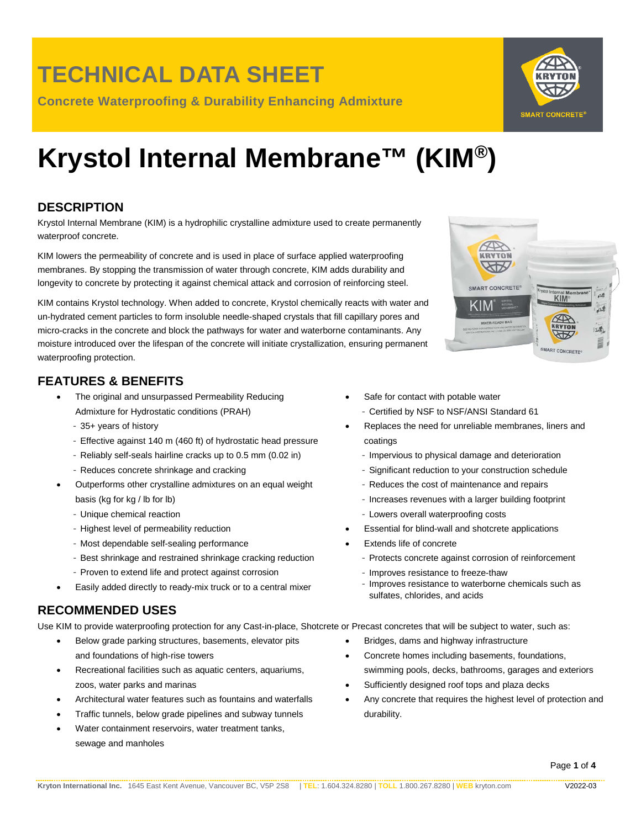#### **Kryton International Inc.** 1645 East Kent Avenue, Vancouver BC, V5P 2S8 | **TEL**: 1.604.324.8280 | **TOLL** 1.800.267.8280 | **WEB** kryton.com V2022-03

## **TECHNICAL DATA SHEET**

**Concrete Waterproofing & Durability Enhancing Admixture**

# **Krystol Internal Membrane™ (KIM®)**

### **DESCRIPTION**

Krystol Internal Membrane (KIM) is a hydrophilic crystalline admixture used to create permanently waterproof concrete.

KIM lowers the permeability of concrete and is used in place of surface applied waterproofing membranes. By stopping the transmission of water through concrete, KIM adds durability and longevity to concrete by protecting it against chemical attack and corrosion of reinforcing steel.

KIM contains Krystol technology. When added to concrete, Krystol chemically reacts with water and un-hydrated cement particles to form insoluble needle-shaped crystals that fill capillary pores and micro-cracks in the concrete and block the pathways for water and waterborne contaminants. Any moisture introduced over the lifespan of the concrete will initiate crystallization, ensuring permanent waterproofing protection.

### **FEATURES & BENEFITS**

- The original and unsurpassed Permeability Reducing Admixture for Hydrostatic conditions (PRAH)
	- 35+ years of history
	- Effective against 140 m (460 ft) of hydrostatic head pressure
	- Reliably self-seals hairline cracks up to 0.5 mm (0.02 in)
	- Reduces concrete shrinkage and cracking
- Outperforms other crystalline admixtures on an equal weight basis (kg for kg / lb for lb)
	- Unique chemical reaction
	- Highest level of permeability reduction
	- Most dependable self-sealing performance
	- Best shrinkage and restrained shrinkage cracking reduction
	- Proven to extend life and protect against corrosion
- Easily added directly to ready-mix truck or to a central mixer

### **RECOMMENDED USES**

Use KIM to provide waterproofing protection for any Cast-in-place, Shotcrete or Precast concretes that will be subject to water, such as:

- Below grade parking structures, basements, elevator pits and foundations of high-rise towers
- Recreational facilities such as aquatic centers, aquariums, zoos, water parks and marinas
- Architectural water features such as fountains and waterfalls
- Traffic tunnels, below grade pipelines and subway tunnels
- Water containment reservoirs, water treatment tanks, sewage and manholes
- Safe for contact with potable water - Certified by NSF to NSF/ANSI Standard 61
- Replaces the need for unreliable membranes, liners and coatings
	- Impervious to physical damage and deterioration
	- Significant reduction to your construction schedule
	- Reduces the cost of maintenance and repairs
	- Increases revenues with a larger building footprint
- Lowers overall waterproofing costs
- Essential for blind-wall and shotcrete applications
- Extends life of concrete
	- Protects concrete against corrosion of reinforcement
	- Improves resistance to freeze-thaw
	- Improves resistance to waterborne chemicals such as sulfates, chlorides, and acids
- Bridges, dams and highway infrastructure
- Concrete homes including basements, foundations, swimming pools, decks, bathrooms, garages and exteriors
- Sufficiently designed roof tops and plaza decks
- Any concrete that requires the highest level of protection and durability.



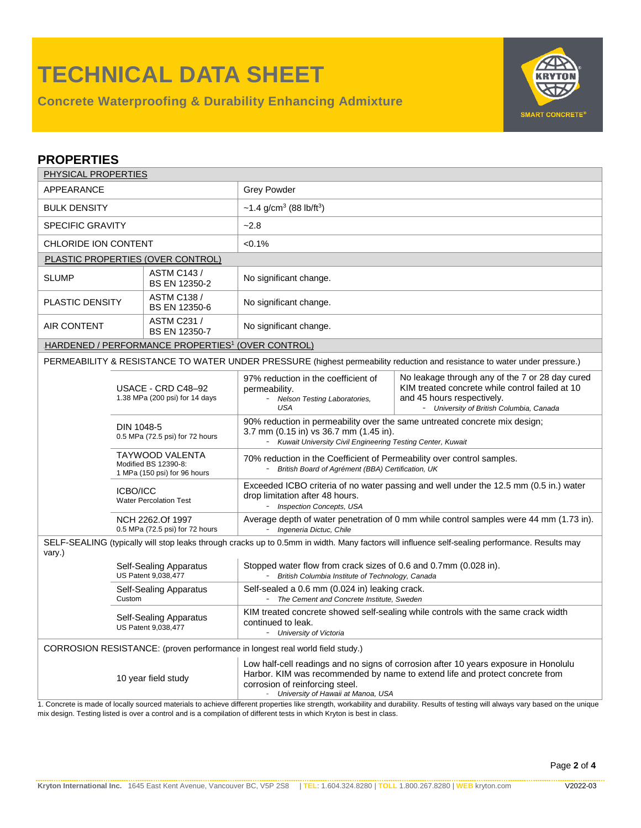# **TECHNICAL DATA SHEET**

**Concrete Waterproofing & Durability Enhancing Admixture**



| <b>PROPERTIES</b>                                                                                                                                        |                                                                                                                             |                                            |                                                                                                                                                                                                                                                 |                                                                                                                                                                              |  |  |
|----------------------------------------------------------------------------------------------------------------------------------------------------------|-----------------------------------------------------------------------------------------------------------------------------|--------------------------------------------|-------------------------------------------------------------------------------------------------------------------------------------------------------------------------------------------------------------------------------------------------|------------------------------------------------------------------------------------------------------------------------------------------------------------------------------|--|--|
| PHYSICAL PROPERTIES                                                                                                                                      |                                                                                                                             |                                            |                                                                                                                                                                                                                                                 |                                                                                                                                                                              |  |  |
| APPEARANCE                                                                                                                                               |                                                                                                                             |                                            | <b>Grey Powder</b>                                                                                                                                                                                                                              |                                                                                                                                                                              |  |  |
| <b>BULK DENSITY</b>                                                                                                                                      |                                                                                                                             |                                            | ~1.4 g/cm <sup>3</sup> (88 lb/ft <sup>3</sup> )                                                                                                                                                                                                 |                                                                                                                                                                              |  |  |
| <b>SPECIFIC GRAVITY</b>                                                                                                                                  |                                                                                                                             |                                            | $-2.8$                                                                                                                                                                                                                                          |                                                                                                                                                                              |  |  |
| CHLORIDE ION CONTENT                                                                                                                                     |                                                                                                                             |                                            | $< 0.1\%$                                                                                                                                                                                                                                       |                                                                                                                                                                              |  |  |
| PLASTIC PROPERTIES (OVER CONTROL)                                                                                                                        |                                                                                                                             |                                            |                                                                                                                                                                                                                                                 |                                                                                                                                                                              |  |  |
| <b>SLUMP</b>                                                                                                                                             |                                                                                                                             | <b>ASTM C143 /</b><br><b>BS EN 12350-2</b> | No significant change.                                                                                                                                                                                                                          |                                                                                                                                                                              |  |  |
| <b>PLASTIC DENSITY</b>                                                                                                                                   |                                                                                                                             | <b>ASTM C138 /</b><br>BS EN 12350-6        | No significant change.                                                                                                                                                                                                                          |                                                                                                                                                                              |  |  |
| ASTM C231 /<br><b>AIR CONTENT</b><br>BS EN 12350-7                                                                                                       |                                                                                                                             |                                            | No significant change.                                                                                                                                                                                                                          |                                                                                                                                                                              |  |  |
| HARDENED / PERFORMANCE PROPERTIES <sup>1</sup> (OVER CONTROL)                                                                                            |                                                                                                                             |                                            |                                                                                                                                                                                                                                                 |                                                                                                                                                                              |  |  |
| PERMEABILITY & RESISTANCE TO WATER UNDER PRESSURE (highest permeability reduction and resistance to water under pressure.)                               |                                                                                                                             |                                            |                                                                                                                                                                                                                                                 |                                                                                                                                                                              |  |  |
|                                                                                                                                                          | USACE - CRD C48-92<br>1.38 MPa (200 psi) for 14 days                                                                        |                                            | 97% reduction in the coefficient of<br>permeability.<br>- Nelson Testing Laboratories,<br><b>USA</b>                                                                                                                                            | No leakage through any of the 7 or 28 day cured<br>KIM treated concrete while control failed at 10<br>and 45 hours respectively.<br>- University of British Columbia, Canada |  |  |
|                                                                                                                                                          | DIN 1048-5<br>0.5 MPa (72.5 psi) for 72 hours                                                                               |                                            | 90% reduction in permeability over the same untreated concrete mix design;<br>3.7 mm (0.15 in) vs 36.7 mm (1.45 in).<br>- Kuwait University Civil Engineering Testing Center, Kuwait                                                            |                                                                                                                                                                              |  |  |
|                                                                                                                                                          | TAYWOOD VALENTA<br>Modified BS 12390-8:<br>1 MPa (150 psi) for 96 hours<br><b>ICBO/ICC</b><br><b>Water Percolation Test</b> |                                            | 70% reduction in the Coefficient of Permeability over control samples.<br>- British Board of Agrément (BBA) Certification, UK                                                                                                                   |                                                                                                                                                                              |  |  |
|                                                                                                                                                          |                                                                                                                             |                                            | Exceeded ICBO criteria of no water passing and well under the 12.5 mm (0.5 in.) water<br>drop limitation after 48 hours.<br>- Inspection Concepts, USA                                                                                          |                                                                                                                                                                              |  |  |
|                                                                                                                                                          | NCH 2262.Of 1997<br>0.5 MPa (72.5 psi) for 72 hours                                                                         |                                            | Average depth of water penetration of 0 mm while control samples were 44 mm (1.73 in).<br>- Ingeneria Dictuc, Chile                                                                                                                             |                                                                                                                                                                              |  |  |
| SELF-SEALING (typically will stop leaks through cracks up to 0.5mm in width. Many factors will influence self-sealing performance. Results may<br>vary.) |                                                                                                                             |                                            |                                                                                                                                                                                                                                                 |                                                                                                                                                                              |  |  |
|                                                                                                                                                          | Self-Sealing Apparatus<br>US Patent 9,038,477                                                                               |                                            | Stopped water flow from crack sizes of 0.6 and 0.7mm (0.028 in).<br>British Columbia Institute of Technology, Canada                                                                                                                            |                                                                                                                                                                              |  |  |
|                                                                                                                                                          | Self-Sealing Apparatus<br>Custom                                                                                            |                                            | Self-sealed a 0.6 mm (0.024 in) leaking crack.<br>- The Cement and Concrete Institute, Sweden                                                                                                                                                   |                                                                                                                                                                              |  |  |
| Self-Sealing Apparatus<br>US Patent 9,038,477                                                                                                            |                                                                                                                             |                                            | KIM treated concrete showed self-sealing while controls with the same crack width<br>continued to leak.<br>- University of Victoria                                                                                                             |                                                                                                                                                                              |  |  |
| CORROSION RESISTANCE: (proven performance in longest real world field study.)                                                                            |                                                                                                                             |                                            |                                                                                                                                                                                                                                                 |                                                                                                                                                                              |  |  |
| 10 year field study                                                                                                                                      |                                                                                                                             |                                            | Low half-cell readings and no signs of corrosion after 10 years exposure in Honolulu<br>Harbor. KIM was recommended by name to extend life and protect concrete from<br>corrosion of reinforcing steel.<br>- University of Hawaii at Manoa, USA |                                                                                                                                                                              |  |  |

1. Concrete is made of locally sourced materials to achieve different properties like strength, workability and durability. Results of testing will always vary based on the unique mix design. Testing listed is over a control and is a compilation of different tests in which Kryton is best in class.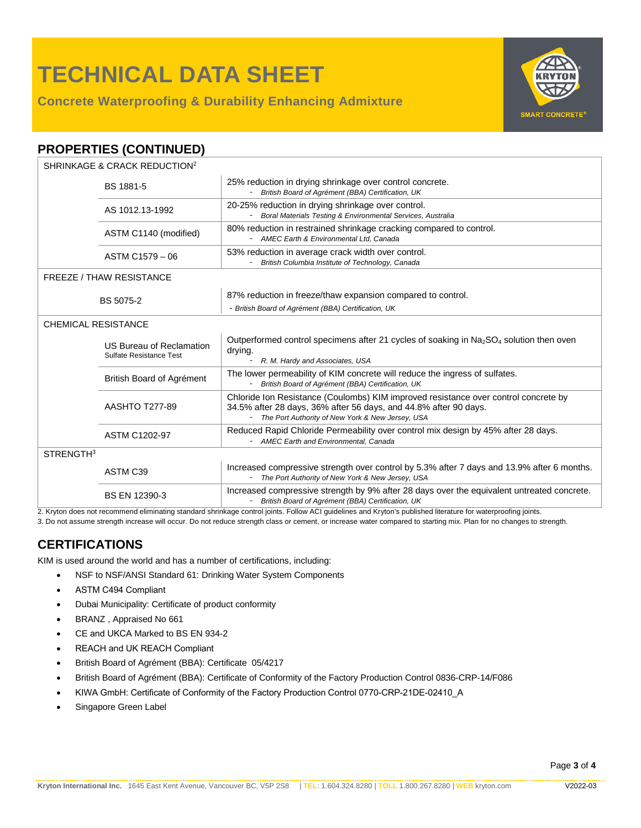## **TECHNICAL DATA SHEET**

**Concrete Waterproofing & Durability Enhancing Admixture**



### **PROPERTIES (CONTINUED)**

| SHRINKAGE & CRACK REDUCTION <sup>2</sup>            |                                                                                                                                                                                                                                      |  |  |  |  |
|-----------------------------------------------------|--------------------------------------------------------------------------------------------------------------------------------------------------------------------------------------------------------------------------------------|--|--|--|--|
| BS 1881-5                                           | 25% reduction in drying shrinkage over control concrete.<br>- British Board of Agrément (BBA) Certification, UK<br>20-25% reduction in drying shrinkage over control.<br>Boral Materials Testing & Environmental Services, Australia |  |  |  |  |
| AS 1012.13-1992                                     |                                                                                                                                                                                                                                      |  |  |  |  |
| ASTM C1140 (modified)                               | 80% reduction in restrained shrinkage cracking compared to control.<br>- AMEC Earth & Environmental Ltd, Canada                                                                                                                      |  |  |  |  |
| ASTM C1579 - 06                                     | 53% reduction in average crack width over control.<br>British Columbia Institute of Technology, Canada                                                                                                                               |  |  |  |  |
| <b>FREEZE / THAW RESISTANCE</b>                     |                                                                                                                                                                                                                                      |  |  |  |  |
| BS 5075-2                                           | 87% reduction in freeze/thaw expansion compared to control.<br>- British Board of Agrément (BBA) Certification, UK                                                                                                                   |  |  |  |  |
| <b>CHEMICAL RESISTANCE</b>                          |                                                                                                                                                                                                                                      |  |  |  |  |
| US Bureau of Reclamation<br>Sulfate Resistance Test | Outperformed control specimens after 21 cycles of soaking in Na <sub>2</sub> SO <sub>4</sub> solution then oven<br>drying.<br>R. M. Hardy and Associates, USA                                                                        |  |  |  |  |
| British Board of Agrément                           | The lower permeability of KIM concrete will reduce the ingress of sulfates.<br>British Board of Agrément (BBA) Certification, UK                                                                                                     |  |  |  |  |
| <b>AASHTO T277-89</b>                               | Chloride Ion Resistance (Coulombs) KIM improved resistance over control concrete by<br>34.5% after 28 days, 36% after 56 days, and 44.8% after 90 days.<br>- The Port Authority of New York & New Jersey, USA                        |  |  |  |  |
| <b>ASTM C1202-97</b>                                | Reduced Rapid Chloride Permeability over control mix design by 45% after 28 days.<br>- AMEC Earth and Environmental. Canada                                                                                                          |  |  |  |  |
| STRENGTH <sup>3</sup>                               |                                                                                                                                                                                                                                      |  |  |  |  |
| ASTM C39                                            | Increased compressive strength over control by 5.3% after 7 days and 13.9% after 6 months.<br>The Port Authority of New York & New Jersey, USA                                                                                       |  |  |  |  |
| <b>BS EN 12390-3</b>                                | Increased compressive strength by 9% after 28 days over the equivalent untreated concrete.<br>British Board of Agrément (BBA) Certification, UK                                                                                      |  |  |  |  |

2. Kryton does not recommend eliminating standard shrinkage control joints. Follow ACI guidelines and Kryton's published literature for waterproofing joints.

3. Do not assume strength increase will occur. Do not reduce strength class or cement, or increase water compared to starting mix. Plan for no changes to strength.

### **CERTIFICATIONS**

KIM is used around the world and has a number of certifications, including:

- NSF to NSF/ANSI Standard 61: Drinking Water System Components
- ASTM C494 Compliant
- Dubai Municipality: Certificate of product conformity
- BRANZ , Appraised No 661
- CE and UKCA Marked to BS EN 934-2
- REACH and UK REACH Compliant
- British Board of Agrément (BBA): Certificate 05/4217
- British Board of Agrément (BBA): Certificate of Conformity of the Factory Production Control 0836-CRP-14/F086
- KIWA GmbH: Certificate of Conformity of the Factory Production Control 0770-CRP-21DE-02410\_A
- Singapore Green Label